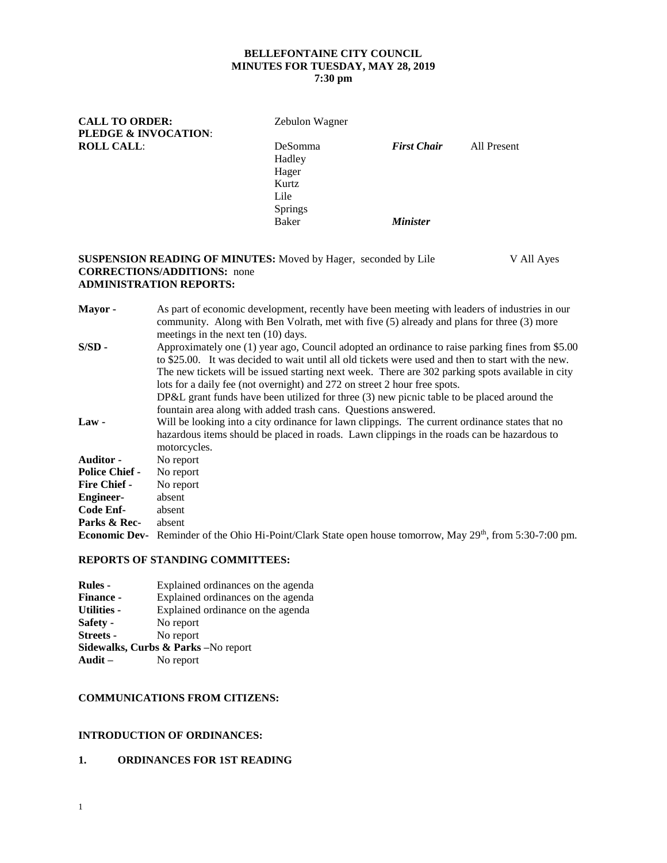# **BELLEFONTAINE CITY COUNCIL MINUTES FOR TUESDAY, MAY 28, 2019**

# **7:30 pm**

| <b>CALL TO ORDER:</b> | Zebulon Wagner |                    |             |  |
|-----------------------|----------------|--------------------|-------------|--|
| PLEDGE & INVOCATION:  |                |                    |             |  |
| <b>ROLL CALL:</b>     | <b>DeSomma</b> | <b>First Chair</b> | All Present |  |
|                       | Hadley         |                    |             |  |
|                       | Hager          |                    |             |  |
|                       | Kurtz          |                    |             |  |
|                       | Lile           |                    |             |  |
|                       | <b>Springs</b> |                    |             |  |
|                       | Baker          | <b>Minister</b>    |             |  |
|                       |                |                    |             |  |

## **SUSPENSION READING OF MINUTES:** Moved by Hager, seconded by Lile V All Ayes **CORRECTIONS/ADDITIONS:** none **ADMINISTRATION REPORTS:**

| Mayor -               | As part of economic development, recently have been meeting with leaders of industries in our<br>community. Along with Ben Volrath, met with five (5) already and plans for three (3) more<br>meetings in the next ten $(10)$ days.                                                                                                                                                                                                                                                                                                                      |
|-----------------------|----------------------------------------------------------------------------------------------------------------------------------------------------------------------------------------------------------------------------------------------------------------------------------------------------------------------------------------------------------------------------------------------------------------------------------------------------------------------------------------------------------------------------------------------------------|
| $S/SD -$              | Approximately one (1) year ago, Council adopted an ordinance to raise parking fines from \$5.00<br>to \$25.00. It was decided to wait until all old tickets were used and then to start with the new.<br>The new tickets will be issued starting next week. There are 302 parking spots available in city<br>lots for a daily fee (not overnight) and 272 on street 2 hour free spots.<br>DP&L grant funds have been utilized for three $(3)$ new picnic table to be placed around the<br>fountain area along with added trash cans. Questions answered. |
| $Law -$               | Will be looking into a city ordinance for lawn clippings. The current ordinance states that no<br>hazardous items should be placed in roads. Lawn clippings in the roads can be hazardous to<br>motorcycles.                                                                                                                                                                                                                                                                                                                                             |
| <b>Auditor -</b>      | No report                                                                                                                                                                                                                                                                                                                                                                                                                                                                                                                                                |
| <b>Police Chief -</b> | No report                                                                                                                                                                                                                                                                                                                                                                                                                                                                                                                                                |
| <b>Fire Chief -</b>   | No report                                                                                                                                                                                                                                                                                                                                                                                                                                                                                                                                                |
| <b>Engineer-</b>      | absent                                                                                                                                                                                                                                                                                                                                                                                                                                                                                                                                                   |
| Code Enf-             | absent                                                                                                                                                                                                                                                                                                                                                                                                                                                                                                                                                   |
| Parks & Rec-          | absent                                                                                                                                                                                                                                                                                                                                                                                                                                                                                                                                                   |
| <b>Economic Dev-</b>  | Reminder of the Ohio Hi-Point/Clark State open house tomorrow, May 29th, from 5:30-7:00 pm.                                                                                                                                                                                                                                                                                                                                                                                                                                                              |

## **REPORTS OF STANDING COMMITTEES:**

| <b>Rules</b> -     | Explained ordinances on the agenda              |
|--------------------|-------------------------------------------------|
| <b>Finance -</b>   | Explained ordinances on the agenda              |
| <b>Utilities -</b> | Explained ordinance on the agenda               |
| Safety -           | No report                                       |
| <b>Streets -</b>   | No report                                       |
|                    | <b>Sidewalks, Curbs &amp; Parks</b> – No report |
| Audit $-$          | No report                                       |

## **COMMUNICATIONS FROM CITIZENS:**

## **INTRODUCTION OF ORDINANCES:**

### **1. ORDINANCES FOR 1ST READING**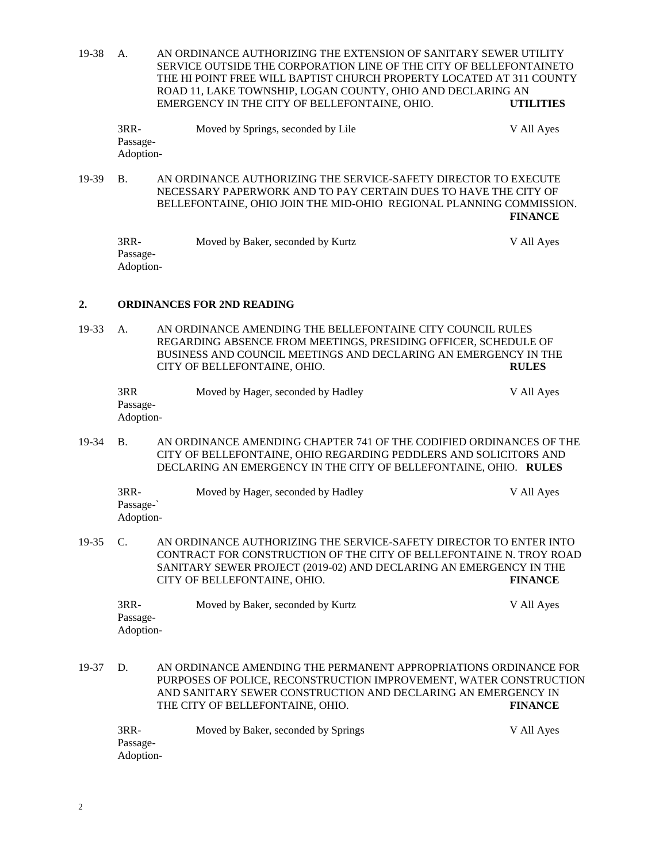19-38 A. AN ORDINANCE AUTHORIZING THE EXTENSION OF SANITARY SEWER UTILITY SERVICE OUTSIDE THE CORPORATION LINE OF THE CITY OF BELLEFONTAINETO THE HI POINT FREE WILL BAPTIST CHURCH PROPERTY LOCATED AT 311 COUNTY ROAD 11, LAKE TOWNSHIP, LOGAN COUNTY, OHIO AND DECLARING AN EMERGENCY IN THE CITY OF BELLEFONTAINE, OHIO. **UTILITIES**

| $3RR-$    | Moved by Springs, seconded by Lile | V All Ayes |
|-----------|------------------------------------|------------|
| Passage-  |                                    |            |
| Adoption- |                                    |            |

19-39 B. AN ORDINANCE AUTHORIZING THE SERVICE-SAFETY DIRECTOR TO EXECUTE NECESSARY PAPERWORK AND TO PAY CERTAIN DUES TO HAVE THE CITY OF BELLEFONTAINE, OHIO JOIN THE MID-OHIO REGIONAL PLANNING COMMISSION. **FINANCE**

| $3RR-$    | Moved by Baker, seconded by Kurtz | V All Ayes |
|-----------|-----------------------------------|------------|
| Passage-  |                                   |            |
| Adoption- |                                   |            |

### **2. ORDINANCES FOR 2ND READING**

19-33 A. AN ORDINANCE AMENDING THE BELLEFONTAINE CITY COUNCIL RULES REGARDING ABSENCE FROM MEETINGS, PRESIDING OFFICER, SCHEDULE OF BUSINESS AND COUNCIL MEETINGS AND DECLARING AN EMERGENCY IN THE CITY OF BELLEFONTAINE, OHIO. **RULES**

| 3RR       | Moved by Hager, seconded by Hadley | V All Ayes |
|-----------|------------------------------------|------------|
| Passage-  |                                    |            |
| Adoption- |                                    |            |

19-34 B. AN ORDINANCE AMENDING CHAPTER 741 OF THE CODIFIED ORDINANCES OF THE CITY OF BELLEFONTAINE, OHIO REGARDING PEDDLERS AND SOLICITORS AND DECLARING AN EMERGENCY IN THE CITY OF BELLEFONTAINE, OHIO. **RULES**

| 3RR-      | Moved by Hager, seconded by Hadley | V All Ayes |
|-----------|------------------------------------|------------|
| Passage-  |                                    |            |
| Adoption- |                                    |            |

19-35 C. AN ORDINANCE AUTHORIZING THE SERVICE-SAFETY DIRECTOR TO ENTER INTO CONTRACT FOR CONSTRUCTION OF THE CITY OF BELLEFONTAINE N. TROY ROAD SANITARY SEWER PROJECT (2019-02) AND DECLARING AN EMERGENCY IN THE CITY OF BELLEFONTAINE, OHIO. **FINANCE**

3RR- Moved by Baker, seconded by Kurtz V All Ayes Passage-Adoption-

19-37 D. AN ORDINANCE AMENDING THE PERMANENT APPROPRIATIONS ORDINANCE FOR PURPOSES OF POLICE, RECONSTRUCTION IMPROVEMENT, WATER CONSTRUCTION AND SANITARY SEWER CONSTRUCTION AND DECLARING AN EMERGENCY IN THE CITY OF BELLEFONTAINE, OHIO. **FINANCE**

| 3RR-      | Moved by Baker, seconded by Springs | V All Aves |
|-----------|-------------------------------------|------------|
| Passage-  |                                     |            |
| Adoption- |                                     |            |